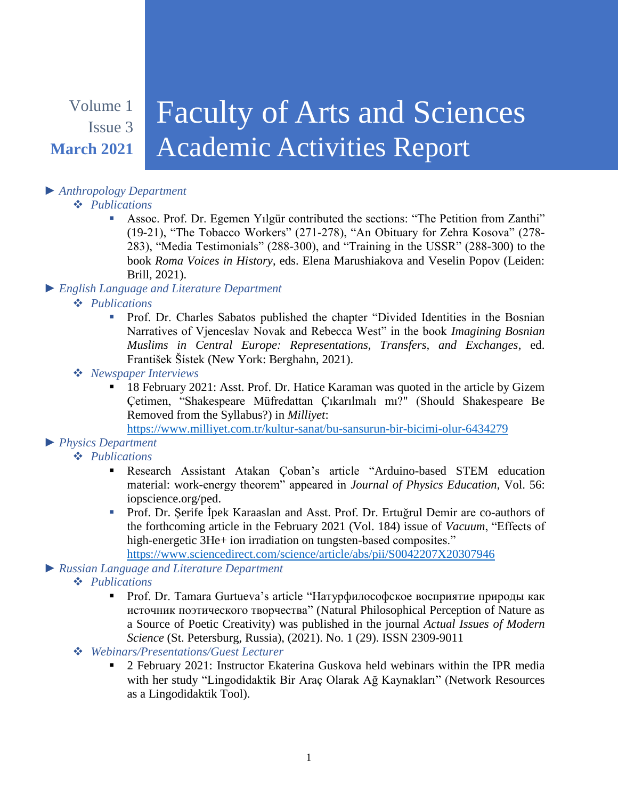## Volume 1 Issue 3 **March 2021**

# Faculty of Arts and Sciences Academic Activities Report

### *► Anthropology Department*

#### *Publications*

- Assoc. Prof. Dr. Egemen Yılgür contributed the sections: "The Petition from Zanthi" (19-21), "The Tobacco Workers" (271-278), "An Obituary for Zehra Kosova" (278- 283), "Media Testimonials" (288-300), and "Training in the USSR" (288-300) to the book *Roma Voices in History*, eds. Elena Marushiakova and Veselin Popov (Leiden: Brill, 2021).
- *► English Language and Literature Department*
	- *Publications*
		- Prof. Dr. Charles Sabatos published the chapter "Divided Identities in the Bosnian Narratives of Vjenceslav Novak and Rebecca West" in the book *Imagining Bosnian Muslims in Central Europe: Representations, Transfers, and Exchanges*, ed. František Šístek (New York: Berghahn, 2021).
	- *Newspaper Interviews*
		- 18 February 2021: Asst. Prof. Dr. Hatice Karaman was quoted in the article by Gizem Çetimen, "Shakespeare Müfredattan Çıkarılmalı mı?" (Should Shakespeare Be Removed from the Syllabus?) in *Milliyet*:

<https://www.milliyet.com.tr/kultur-sanat/bu-sansurun-bir-bicimi-olur-6434279>

#### *► Physics Department*

#### *Publications*

- Research Assistant Atakan Çoban's article "Arduino-based STEM education material: work-energy theorem" appeared in *Journal of Physics Education*, Vol. 56: iopscience.org/ped.
- Prof. Dr. Şerife İpek Karaaslan and Asst. Prof. Dr. Ertuğrul Demir are co-authors of the forthcoming article in the February 2021 (Vol. 184) issue of *Vacuum*, "Effects of high-energetic 3He+ ion irradiation on tungsten-based composites."

<https://www.sciencedirect.com/science/article/abs/pii/S0042207X20307946>

#### *► Russian Language and Literature Department*

- *Publications*
	- Prof. Dr. Tamara Gurtueva's article "Натурфилософское восприятие природы как источник поэтического творчества" (Natural Philosophical Perception of Nature as a Source of Poetic Creativity) was published in the journal *Actual Issues of Modern Science* (St. Petersburg, Russia), (2021). No. 1 (29). ISSN 2309-9011
- *Webinars/Presentations/Guest Lecturer*
	- 2 February 2021: Instructor Ekaterina Guskova held webinars within the IPR media with her study "Lingodidaktik Bir Araç Olarak Ağ Kaynakları" (Network Resources as a Lingodidaktik Tool).